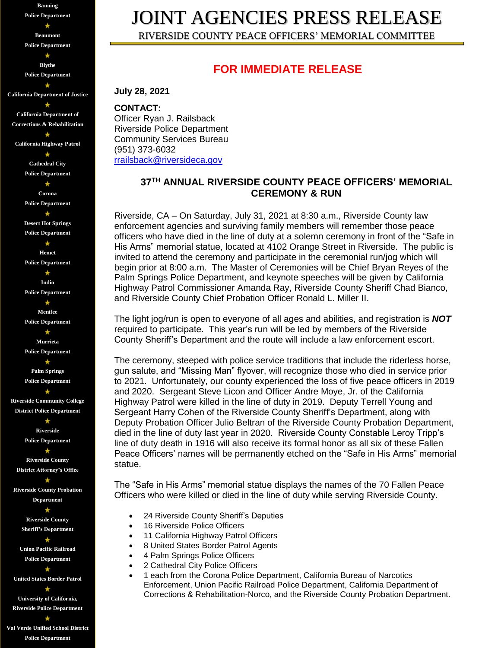**Banning Police Department**  $\star$ **Beaumont Police Department**  $\star$ **Blythe Police Department California Department of Justice**  $\star$ **California Department of Corrections & Rehabilitation**  $\star$ **California Highway Patrol**  $\star$ **Cathedral City Police Department** ÷ **Corona Police Department**  $\star$ **Desert Hot Springs Police Department**  $\star$ **Hemet Police Department** ۰ **Indio Police Department**  $\star$ **Menifee Police Department**  $\star$ **Murrieta Police Department** ٠ **Palm Springs Police Department Riverside Community College District Police Department**  $\star$ **Riverside Police Department**  $\star$ **Riverside County District Attorney's Office Riverside County Probation Department** \* **Riverside County Sheriff's Department**  $\star$ **Union Pacific Railroad Police Department United States Border Patrol**  $\star$ **University of California, Riverside Police Department** \*

**Val Verde Unified School District Police Department**

# JOINT AGENCIES PRESS RELEASE

RIVERSIDE COUNTY PEACE OFFICERS' MEMORIAL COMMITTEE

### **FOR IMMEDIATE RELEASE**

**July 28, 2021**

**CONTACT:** Officer Ryan J. Railsback Riverside Police Department Community Services Bureau (951) 373-6032 [rrailsback@riversideca.gov](mailto:rrailsback@riversideca.gov)

#### **37TH ANNUAL RIVERSIDE COUNTY PEACE OFFICERS' MEMORIAL CEREMONY & RUN**

Riverside, CA – On Saturday, July 31, 2021 at 8:30 a.m., Riverside County law enforcement agencies and surviving family members will remember those peace officers who have died in the line of duty at a solemn ceremony in front of the "Safe in His Arms" memorial statue, located at 4102 Orange Street in Riverside. The public is invited to attend the ceremony and participate in the ceremonial run/jog which will begin prior at 8:00 a.m. The Master of Ceremonies will be Chief Bryan Reyes of the Palm Springs Police Department, and keynote speeches will be given by California Highway Patrol Commissioner Amanda Ray, Riverside County Sheriff Chad Bianco, and Riverside County Chief Probation Officer Ronald L. Miller II.

The light jog/run is open to everyone of all ages and abilities, and registration is *NOT* required to participate. This year's run will be led by members of the Riverside County Sheriff's Department and the route will include a law enforcement escort.

The ceremony, steeped with police service traditions that include the riderless horse, gun salute, and "Missing Man" flyover, will recognize those who died in service prior to 2021. Unfortunately, our county experienced the loss of five peace officers in 2019 and 2020. Sergeant Steve Licon and Officer Andre Moye, Jr. of the California Highway Patrol were killed in the line of duty in 2019. Deputy Terrell Young and Sergeant Harry Cohen of the Riverside County Sheriff's Department, along with Deputy Probation Officer Julio Beltran of the Riverside County Probation Department, died in the line of duty last year in 2020. Riverside County Constable Leroy Tripp's line of duty death in 1916 will also receive its formal honor as all six of these Fallen Peace Officers' names will be permanently etched on the "Safe in His Arms" memorial statue.

The "Safe in His Arms" memorial statue displays the names of the 70 Fallen Peace Officers who were killed or died in the line of duty while serving Riverside County.

- 24 Riverside County Sheriff's Deputies
- 16 Riverside Police Officers
- 11 California Highway Patrol Officers
- 8 United States Border Patrol Agents
- 4 Palm Springs Police Officers
- 2 Cathedral City Police Officers
- 1 each from the Corona Police Department, California Bureau of Narcotics Enforcement, Union Pacific Railroad Police Department, California Department of Corrections & Rehabilitation-Norco, and the Riverside County Probation Department.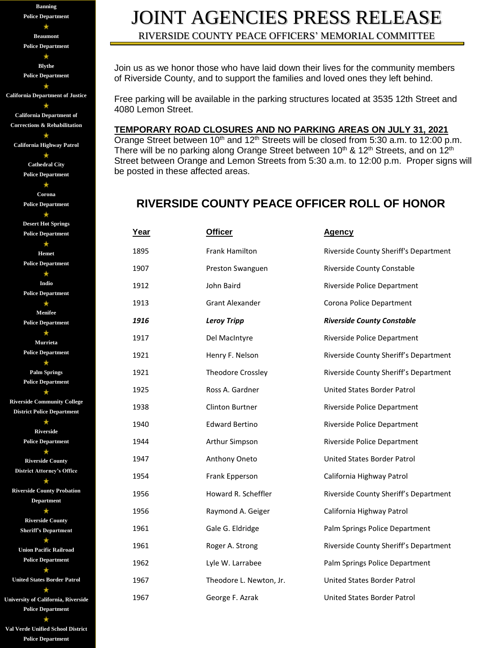**Banning Police Department** ٠ **Beaumont Police Department**  $\star$ **Blythe Police Department** \* **California Department of Justice**  $\star$ **California Department of Corrections & Rehabilitation**  $\star$ **California Highway Patrol**  $\star$ **Cathedral City Police Department**  $\star$ **Corona Police Department**  $\star$ **Desert Hot Springs Police Department**  $\star$ **Hemet Police Department**  $\star$ **Indio Police Department**  $\star$ **Menifee Police Department**  $\star$ **Murrieta Police Department**  $\star$ **Palm Springs Police Department Riverside Community College District Police Department**  $\star$ **Riverside Police Department**  $\star$ **Riverside County District Attorney's Office**  $\star$ **Riverside County Probation Department**  $\star$ **Riverside County Sheriff's Department** ٠ **Union Pacific Railroad Police Department**  $\star$ **United States Border Patrol**  $\star$ **University of California, Riverside Police Department**

**Val Verde Unified School District Police Department**

## JOINT AGENCIES PRESS RELEASE RIVERSIDE COUNTY PEACE OFFICERS' MEMORIAL COMMITTEE

Join us as we honor those who have laid down their lives for the community members of Riverside County, and to support the families and loved ones they left behind.

Free parking will be available in the parking structures located at 3535 12th Street and 4080 Lemon Street.

#### **TEMPORARY ROAD CLOSURES AND NO PARKING AREAS ON JULY 31, 2021**

Orange Street between  $10^{th}$  and  $12^{th}$  Streets will be closed from 5:30 a.m. to 12:00 p.m. There will be no parking along Orange Street between 10<sup>th</sup> & 12<sup>th</sup> Streets, and on 12<sup>th</sup> Street between Orange and Lemon Streets from 5:30 a.m. to 12:00 p.m. Proper signs will be posted in these affected areas.

### **RIVERSIDE COUNTY PEACE OFFICER ROLL OF HONOR**

| Year | <b>Officer</b>          | <b>Agency</b>                         |
|------|-------------------------|---------------------------------------|
| 1895 | Frank Hamilton          | Riverside County Sheriff's Department |
| 1907 | Preston Swanguen        | Riverside County Constable            |
| 1912 | John Baird              | Riverside Police Department           |
| 1913 | <b>Grant Alexander</b>  | Corona Police Department              |
| 1916 | <b>Leroy Tripp</b>      | <b>Riverside County Constable</b>     |
| 1917 | Del MacIntyre           | Riverside Police Department           |
| 1921 | Henry F. Nelson         | Riverside County Sheriff's Department |
| 1921 | Theodore Crossley       | Riverside County Sheriff's Department |
| 1925 | Ross A. Gardner         | United States Border Patrol           |
| 1938 | Clinton Burtner         | Riverside Police Department           |
| 1940 | <b>Edward Bertino</b>   | Riverside Police Department           |
| 1944 | Arthur Simpson          | Riverside Police Department           |
| 1947 | Anthony Oneto           | United States Border Patrol           |
| 1954 | Frank Epperson          | California Highway Patrol             |
| 1956 | Howard R. Scheffler     | Riverside County Sheriff's Department |
| 1956 | Raymond A. Geiger       | California Highway Patrol             |
| 1961 | Gale G. Eldridge        | Palm Springs Police Department        |
| 1961 | Roger A. Strong         | Riverside County Sheriff's Department |
| 1962 | Lyle W. Larrabee        | Palm Springs Police Department        |
| 1967 | Theodore L. Newton, Jr. | United States Border Patrol           |
| 1967 | George F. Azrak         | United States Border Patrol           |
|      |                         |                                       |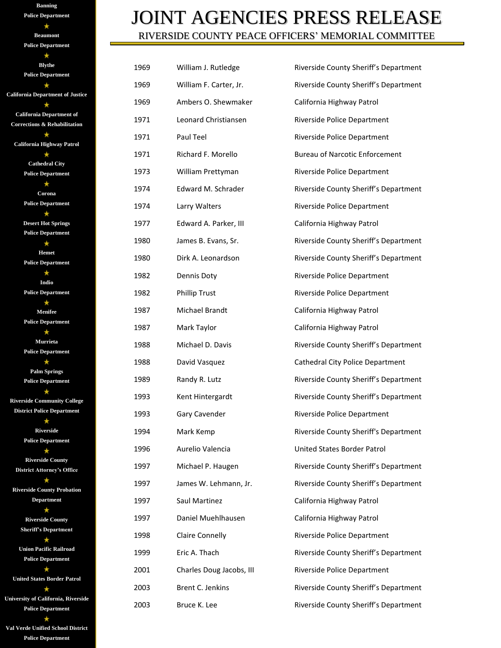| <b>Banning</b>                          |  |
|-----------------------------------------|--|
| <b>Police Department</b>                |  |
| *                                       |  |
| <b>Beaumont</b>                         |  |
| <b>Police Department</b>                |  |
|                                         |  |
| <b>Blythe</b>                           |  |
| <b>Police Department</b>                |  |
|                                         |  |
| <b>California Department of Justice</b> |  |
| *                                       |  |
| <b>California Department of</b>         |  |
| <b>Corrections &amp; Rehabilitation</b> |  |
|                                         |  |
| <b>California Highway Patrol</b>        |  |
|                                         |  |
| <b>Cathedral City</b>                   |  |
| <b>Police Department</b>                |  |
|                                         |  |
| Corona                                  |  |
| <b>Police Department</b>                |  |
|                                         |  |
| <b>Desert Hot Springs</b>               |  |
| <b>Police Department</b>                |  |
|                                         |  |
| <b>Hemet</b>                            |  |
| <b>Police Department</b>                |  |
|                                         |  |
| Indio                                   |  |
| <b>Police Department</b>                |  |
|                                         |  |
| <b>Menifee</b>                          |  |
| <b>Police Department</b>                |  |
|                                         |  |
| Murrieta                                |  |
| <b>Police Department</b>                |  |
|                                         |  |
| <b>Palm Springs</b>                     |  |
| <b>Police Department</b>                |  |
|                                         |  |
| <b>Riverside Community College</b>      |  |
| <b>District Police Department</b>       |  |
|                                         |  |
| <b>Riverside</b>                        |  |
| <b>Police Department</b>                |  |
|                                         |  |
| <b>Riverside County</b>                 |  |
| <b>District Attorney's Office</b>       |  |
|                                         |  |
| <b>Riverside County Probation</b>       |  |
| <b>Department</b>                       |  |
|                                         |  |
| <b>Riverside County</b>                 |  |
| <b>Sheriff's Department</b>             |  |
|                                         |  |
| <b>Union Pacific Railroad</b>           |  |
| <b>Police Department</b>                |  |
|                                         |  |
| <b>United States Border Patrol</b>      |  |
|                                         |  |
| University of California, Riverside     |  |
| <b>Police Department</b>                |  |

**Val Verde Unified School District Police Department**

## JOINT AGENCIES PRESS RELEASE RIVERSIDE COUNTY PEACE OFFICERS' MEMORIAL COMMITTEE

| 1969 | William J. Rutledge      | Riverside County Sheriff's Department |
|------|--------------------------|---------------------------------------|
| 1969 | William F. Carter, Jr.   | Riverside County Sheriff's Department |
| 1969 | Ambers O. Shewmaker      | California Highway Patrol             |
| 1971 | Leonard Christiansen     | Riverside Police Department           |
| 1971 | Paul Teel                | Riverside Police Department           |
| 1971 | Richard F. Morello       | <b>Bureau of Narcotic Enforcement</b> |
| 1973 | William Prettyman        | Riverside Police Department           |
| 1974 | Edward M. Schrader       | Riverside County Sheriff's Department |
| 1974 | Larry Walters            | Riverside Police Department           |
| 1977 | Edward A. Parker, III    | California Highway Patrol             |
| 1980 | James B. Evans, Sr.      | Riverside County Sheriff's Department |
| 1980 | Dirk A. Leonardson       | Riverside County Sheriff's Department |
| 1982 | Dennis Doty              | Riverside Police Department           |
| 1982 | <b>Phillip Trust</b>     | Riverside Police Department           |
| 1987 | Michael Brandt           | California Highway Patrol             |
| 1987 | Mark Taylor              | California Highway Patrol             |
| 1988 | Michael D. Davis         | Riverside County Sheriff's Department |
| 1988 | David Vasquez            | Cathedral City Police Department      |
| 1989 | Randy R. Lutz            | Riverside County Sheriff's Department |
| 1993 | Kent Hintergardt         | Riverside County Sheriff's Department |
| 1993 | Gary Cavender            | Riverside Police Department           |
| 1994 | Mark Kemp                | Riverside County Sheriff's Department |
| 1996 | Aurelio Valencia         | United States Border Patrol           |
| 1997 | Michael P. Haugen        | Riverside County Sheriff's Department |
| 1997 | James W. Lehmann, Jr.    | Riverside County Sheriff's Department |
| 1997 | Saul Martinez            | California Highway Patrol             |
| 1997 | Daniel Muehlhausen       | California Highway Patrol             |
| 1998 | <b>Claire Connelly</b>   | Riverside Police Department           |
| 1999 | Eric A. Thach            | Riverside County Sheriff's Department |
| 2001 | Charles Doug Jacobs, III | Riverside Police Department           |
| 2003 | Brent C. Jenkins         | Riverside County Sheriff's Department |
| 2003 | Bruce K. Lee             | Riverside County Sheriff's Department |